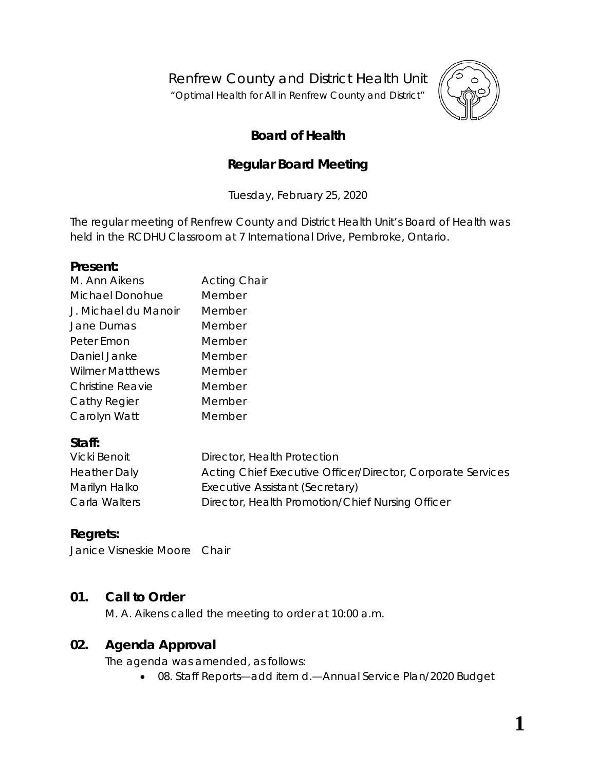Renfrew County and District Health Unit

"*Optimal Health for All in Renfrew County and District"*



# **Board of Health**

# **Regular Board Meeting**

Tuesday, February 25, 2020

The regular meeting of Renfrew County and District Health Unit's Board of Health was held in the RCDHU Classroom at 7 International Drive, Pembroke, Ontario.

#### **Present:**

| M. Ann Aikens          | <b>Acting Chair</b> |
|------------------------|---------------------|
| Michael Donohue        | Member              |
| J. Michael du Manoir   | Member              |
| Jane Dumas             | Member              |
| Peter Emon             | Member              |
| Daniel Janke           | Member              |
| <b>Wilmer Matthews</b> | Member              |
| Christine Reavie       | Member              |
| Cathy Regier           | Member              |
| Carolyn Watt           | Member              |
|                        |                     |

## **Staff:**

| Vicki Benoit        | Director, Health Protection                                 |
|---------------------|-------------------------------------------------------------|
| <b>Heather Daly</b> | Acting Chief Executive Officer/Director, Corporate Services |
| Marilyn Halko       | Executive Assistant (Secretary)                             |
| Carla Walters       | Director, Health Promotion/Chief Nursing Officer            |

# **Regrets:**

Janice Visneskie Moore Chair

## **01. Call to Order**

M. A. Aikens called the meeting to order at 10:00 a.m.

## **02. Agenda Approval**

The agenda was amended, as follows:

• 08. Staff Reports—add item d.—Annual Service Plan/2020 Budget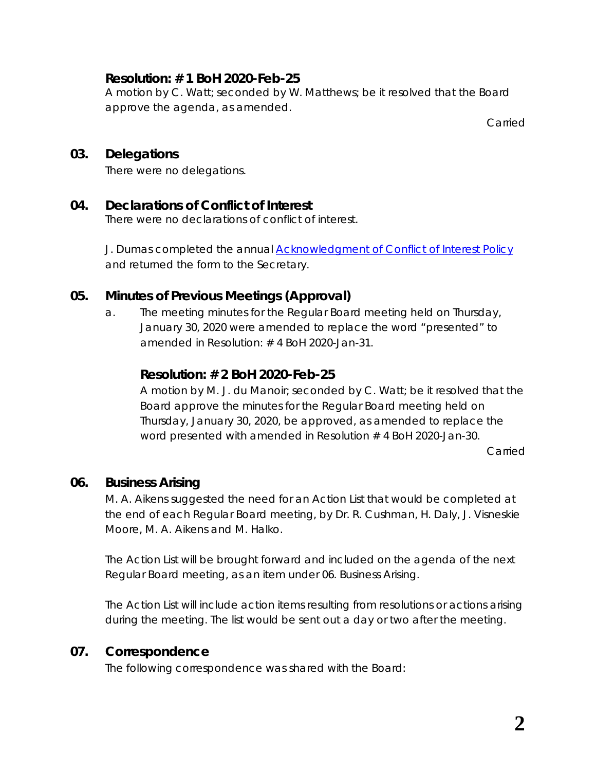## **Resolution: # 1 BoH 2020-Feb-25**

A motion by C. Watt; seconded by W. Matthews; be it resolved that the Board approve the agenda, as amended.

Carried

## **03. Delegations**

There were no delegations.

#### **04. Declarations of Conflict of Interest**

There were no declarations of conflict of interest.

J. Dumas completed the annual *[Acknowledgment of Conflict of Interest Policy](https://www.rcdhu.com/wp-content/uploads/2020/02/04.-a.-Acknowledgement-of-Conflict-of-Interest-Policy.pdf)* and returned the form to the Secretary.

## **05. Minutes of Previous Meetings (Approval)**

a. The meeting minutes for the Regular Board meeting held on Thursday, January 30, 2020 were amended to replace the word "*presented*" to amended in Resolution: # 4 BoH 2020-Jan-31.

## **Resolution: # 2 BoH 2020-Feb-25**

A motion by M. J. du Manoir; seconded by C. Watt; be it resolved that the Board approve the minutes for the Regular Board meeting held on Thursday, January 30, 2020, be approved, as amended to replace the word presented with amended in Resolution # 4 BoH 2020-Jan-30.

Carried

#### **06. Business Arising**

M. A. Aikens suggested the need for an Action List that would be completed at the end of each Regular Board meeting, by Dr. R. Cushman, H. Daly, J. Visneskie Moore, M. A. Aikens and M. Halko.

The Action List will be brought forward and included on the agenda of the next Regular Board meeting, as an item under 06. Business Arising.

The Action List will include action items resulting from resolutions or actions arising during the meeting. The list would be sent out a day or two after the meeting.

## **07. Correspondence**

The following correspondence was shared with the Board: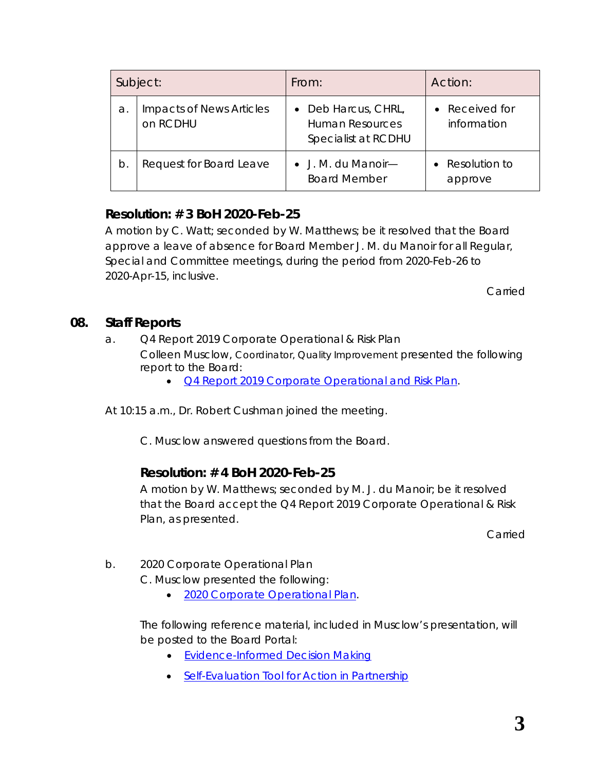|    | Subject:                                    | From:                                                                           | Action:                       |
|----|---------------------------------------------|---------------------------------------------------------------------------------|-------------------------------|
| a. | <b>Impacts of News Articles</b><br>on RCDHU | Deb Harcus, CHRL,<br>$\bullet$<br><b>Human Resources</b><br>Specialist at RCDHU | • Received for<br>information |
| b. | Request for Board Leave                     | $\bullet$ J. M. du Manoir—<br><b>Board Member</b>                               | Resolution to<br>approve      |

# **Resolution: # 3 BoH 2020-Feb-25**

A motion by C. Watt; seconded by W. Matthews; be it resolved that the Board approve a leave of absence for Board Member J. M. du Manoir for all Regular, Special and Committee meetings, during the period from 2020-Feb-26 to 2020-Apr-15, inclusive.

Carried

#### **08. Staff Reports**

- a. Q4 Report 2019 Corporate Operational & Risk Plan Colleen Musclow, Coordinator, Quality Improvement presented the following report to the Board:
	- *[Q4 Report 2019 Corporate Operational and](https://www.rcdhu.com/wp-content/uploads/2020/04/08.-b.-Q4-2019-BOH-and-Staff-Summary-2019-Corporate-Operational-and-Risk-Plan.pdf) Risk Plan*.

At 10:15 a.m., Dr. Robert Cushman joined the meeting.

C. Musclow answered questions from the Board.

## **Resolution: # 4 BoH 2020-Feb-25**

A motion by W. Matthews; seconded by M. J. du Manoir; be it resolved that the Board accept the Q4 Report 2019 Corporate Operational & Risk Plan, as presented.

Carried

b. 2020 Corporate Operational Plan

C. Musclow presented the following:

• *[2020 Corporate Operational Plan](https://www.rcdhu.com/wp-content/uploads/2020/04/08.-c.-2020-Corporate-Operational-Plan-1.pdf)*.

The following reference material, included in Musclow's presentation, will be posted to the Board Portal:

- [Evidence-Informed Decision Making](https://www.rcdhu.com/wp-content/uploads/2020/04/Model-for-Evidence-Informed-Decision-Making-in-Public-Health.pdf)
- [Self-Evaluation Tool for Action in Partnership](https://www.rcdhu.com/wp-content/uploads/2020/04/selfevaluationtool.pdf)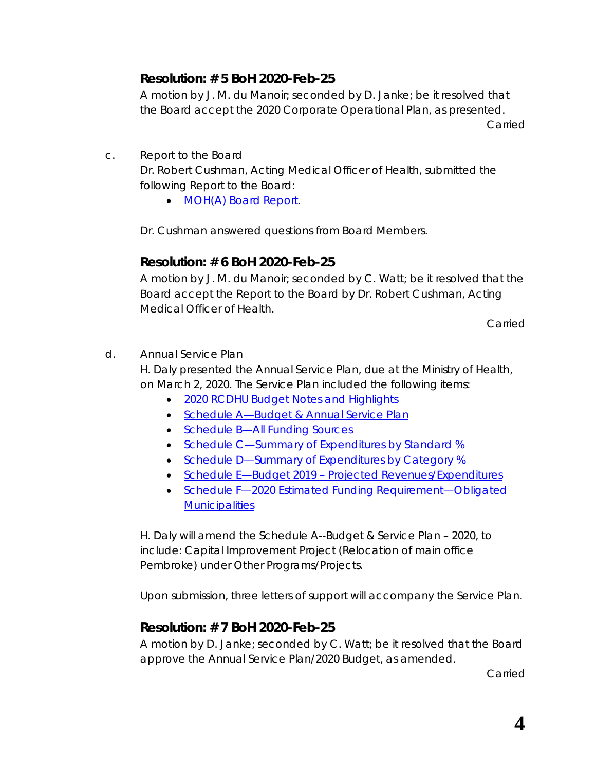# **Resolution: # 5 BoH 2020-Feb-25**

A motion by J. M. du Manoir; seconded by D. Janke; be it resolved that the Board accept the 2020 Corporate Operational Plan, as presented. Carried

c. Report to the Board

Dr. Robert Cushman, Acting Medical Officer of Health, submitted the following Report to the Board:

• *[MOH\(A\) Board Report.](https://www.rcdhu.com/wp-content/uploads/2020/04/08.-a.-MOHA-Report-February-2020.pdf)*

Dr. Cushman answered questions from Board Members.

## **Resolution: # 6 BoH 2020-Feb-25**

A motion by J. M. du Manoir; seconded by C. Watt; be it resolved that the Board accept the Report to the Board by Dr. Robert Cushman, Acting Medical Officer of Health.

Carried

d. Annual Service Plan

H. Daly presented the Annual Service Plan, due at the Ministry of Health, on March 2, 2020. The Service Plan included the following items:

- [2020 RCDHU Budget Notes and Highlights](https://www.rcdhu.com/wp-content/uploads/2020/04/2020-RCDHU-Budget-Notes-and-Highlights.pdf)
- Schedule A-Budget & Annual Service Plan
- Schedule B-All Funding Sources
- [Schedule C—Summary of Expenditures by Standard %](https://www.rcdhu.com/wp-content/uploads/2020/04/Schedule-C-Summary-of-Expenditures-by-Standard-.pdf)
- Schedule D-Summary of Expenditures by Category %
- Schedule E-Budget 2019 [Projected Revenues/Expenditures](https://www.rcdhu.com/wp-content/uploads/2020/04/Schedule-E-Budget-2019-Projected-Revenues-Expenditures.pdf)
- Schedule F-2020 Estimated Funding Requirement-Obligated **[Municipalities](https://www.rcdhu.com/wp-content/uploads/2020/04/08.-d.-vii.-Schedule-F-2020-Estimated-Funding-Requirement-Obligated-Municipalities.pdf)**

H. Daly will amend the Schedule A--Budget & Service Plan – 2020, to include: Capital Improvement Project (Relocation of main office Pembroke) under Other Programs/Projects.

Upon submission, three letters of support will accompany the Service Plan.

# **Resolution: # 7 BoH 2020-Feb-25**

A motion by D. Janke; seconded by C. Watt; be it resolved that the Board approve the Annual Service Plan/2020 Budget, as amended.

Carried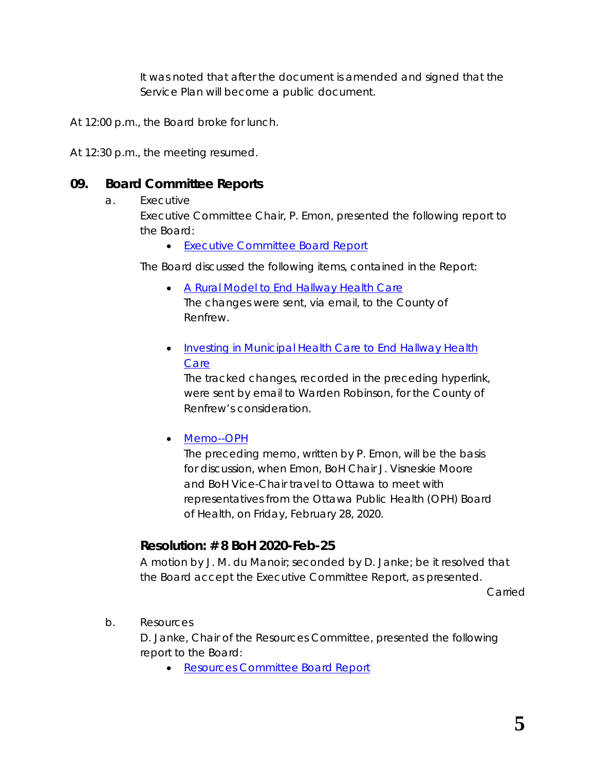It was noted that after the document is amended and signed that the Service Plan will become a public document.

At 12:00 p.m., the Board broke for lunch.

At 12:30 p.m., the meeting resumed.

#### **09. Board Committee Reports**

#### a. Executive

Executive Committee Chair, P. Emon, presented the following report to the Board:

• *[Executive Committee Board Report](https://www.rcdhu.com/wp-content/uploads/2020/04/09.-a.-i.-Executive-Committee-Board-Report-February-2020.pdf)*

The Board discussed the following items, contained in the Report:

- *[A Rural Model to End Hallway Health Care](http://portal.rcdhu.com/board/wp-content/uploads/2020/02/09.-a.-A-Rural-Model-to-End-Hallway-Health-Care-revised-2020-Feb-18.pdf)* The changes were sent, via email, to the County of Renfrew.
- *[Investing in Municipal Health Care to End Hallway Health](https://www.rcdhu.com/wp-content/uploads/2020/04/09.-a.-Investing-in-Municipal-Health-Care-to-End-Hallway-Health-Care-revised-2020-Feb-18-EC.pdf)  [Care](https://www.rcdhu.com/wp-content/uploads/2020/04/09.-a.-Investing-in-Municipal-Health-Care-to-End-Hallway-Health-Care-revised-2020-Feb-18-EC.pdf)*

The tracked changes, recorded in the preceding hyperlink, were sent by email to Warden Robinson, for the County of Renfrew's consideration.

#### • *[Memo--OPH](https://www.rcdhu.com/wp-content/uploads/2020/04/09.-a.-Memo-OPH-2020-Feb-18.pdf)*

The preceding memo, written by P. Emon, will be the basis for discussion, when Emon, BoH Chair J. Visneskie Moore and BoH Vice-Chair travel to Ottawa to meet with representatives from the Ottawa Public Health (OPH) Board of Health, on Friday, February 28, 2020.

## **Resolution: # 8 BoH 2020-Feb-25**

A motion by J. M. du Manoir; seconded by D. Janke; be it resolved that the Board accept the Executive Committee Report, as presented.

Carried

b. Resources

D. Janke, Chair of the Resources Committee, presented the following report to the Board:

• *[Resources Committee Board Report](https://www.rcdhu.com/wp-content/uploads/2020/04/09.-b.-Resources-Committee-Board-Report.pdf)*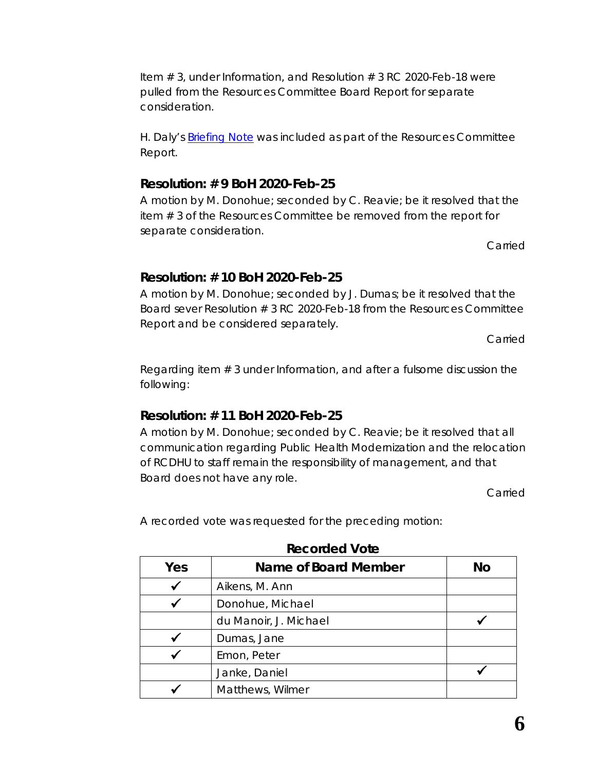Item # 3, under *Information*, and Resolution # 3 RC 2020-Feb-18 were pulled from the Resources Committee Board Report for separate consideration.

H. Daly's *[Briefing Note](https://www.rcdhu.com/wp-content/uploads/2020/04/Briefing-Note-Feb-2020.pdf)* was included as part of the Resources Committee Report.

## **Resolution: # 9 BoH 2020-Feb-25**

A motion by M. Donohue; seconded by C. Reavie; be it resolved that the item # 3 of the Resources Committee be removed from the report for separate consideration.

Carried

# **Resolution: # 10 BoH 2020-Feb-25**

A motion by M. Donohue; seconded by J. Dumas; be it resolved that the Board sever Resolution # 3 RC 2020-Feb-18 from the Resources Committee Report and be considered separately.

Carried

Regarding item # 3 under Information, and after a fulsome discussion the following:

# **Resolution: # 11 BoH 2020-Feb-25**

A motion by M. Donohue; seconded by C. Reavie; be it resolved that all communication regarding Public Health Modernization and the relocation of RCDHU to staff remain the responsibility of management, and that Board does not have any role.

Carried

A recorded vote was requested for the preceding motion:

| Yes | Name of Board Member<br>No |  |
|-----|----------------------------|--|
|     | Aikens, M. Ann             |  |
|     | Donohue, Michael           |  |
|     | du Manoir, J. Michael      |  |
|     | Dumas, Jane                |  |
|     | Emon, Peter                |  |
|     | Janke, Daniel              |  |
|     | Matthews, Wilmer           |  |

**Recorded Vote**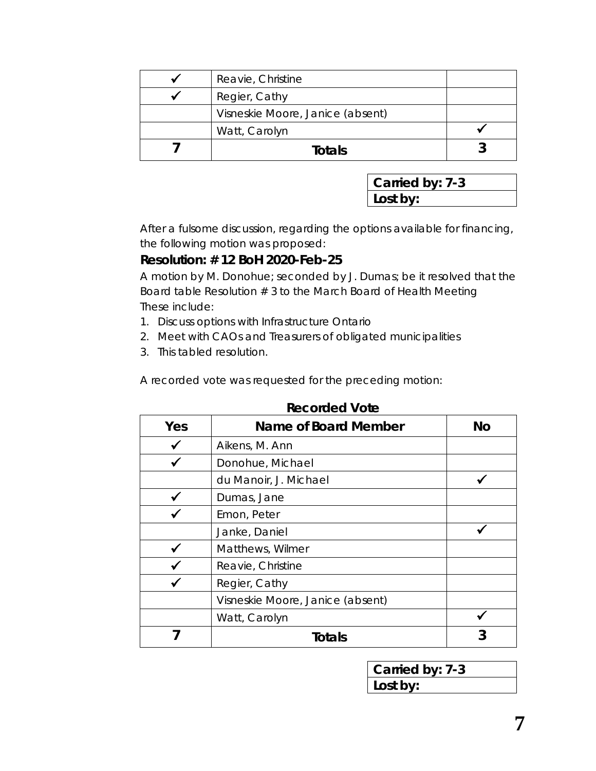| Reavie, Christine                |  |
|----------------------------------|--|
| Regier, Cathy                    |  |
| Visneskie Moore, Janice (absent) |  |
| Watt, Carolyn                    |  |
| Totals                           |  |

| Carried by: 7-3 |  |
|-----------------|--|
| Lost by:        |  |

After a fulsome discussion, regarding the options available for financing, the following motion was proposed:

#### **Resolution: # 12 BoH 2020-Feb-25**

A motion by M. Donohue; seconded by J. Dumas; be it resolved that the Board table Resolution # 3 to the March Board of Health Meeting These include:

- 1. Discuss options with Infrastructure Ontario
- 2. Meet with CAOs and Treasurers of obligated municipalities
- 3. This tabled resolution.

A recorded vote was requested for the preceding motion:

| Yes | <b>Name of Board Member</b>      | <b>No</b> |
|-----|----------------------------------|-----------|
|     | Aikens, M. Ann                   |           |
|     | Donohue, Michael                 |           |
|     | du Manoir, J. Michael            |           |
|     | Dumas, Jane                      |           |
|     | Emon, Peter                      |           |
|     | Janke, Daniel                    |           |
|     | Matthews, Wilmer                 |           |
|     | Reavie, Christine                |           |
|     | Regier, Cathy                    |           |
|     | Visneskie Moore, Janice (absent) |           |
|     | Watt, Carolyn                    |           |
|     | <b>Totals</b>                    | 3         |

#### **Recorded Vote**

| Carried by: 7-3 |  |
|-----------------|--|
| Lost by:        |  |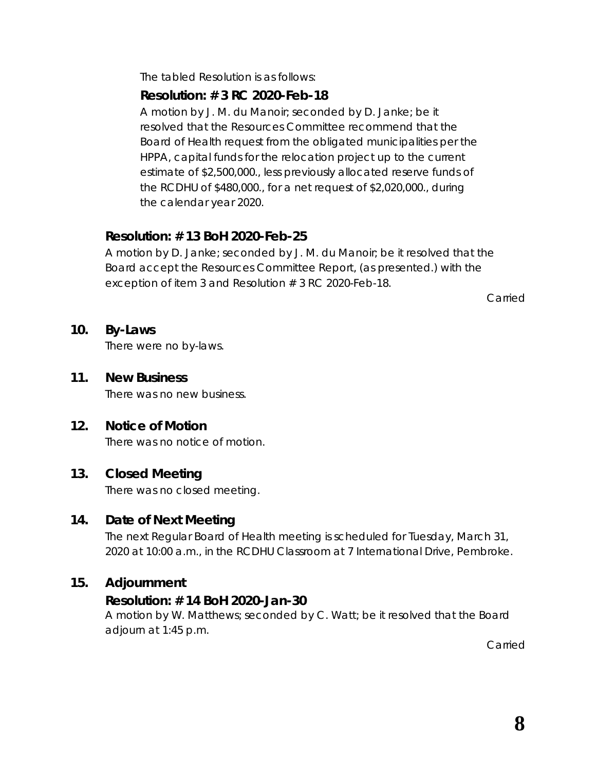The tabled Resolution is as follows:

#### *Resolution: # 3 RC 2020-Feb-18*

*A motion by J. M. du Manoir; seconded by D. Janke; be it resolved that the Resources Committee recommend that the Board of Health request from the obligated municipalities per the HPPA, capital funds for the relocation project up to the current estimate of \$2,500,000., less previously allocated reserve funds of the RCDHU of \$480,000., for a net request of \$2,020,000., during the calendar year 2020.*

## **Resolution: # 13 BoH 2020-Feb-25**

A motion by D. Janke; seconded by J. M. du Manoir; be it resolved that the Board accept the Resources Committee Report, (as presented.) with the exception of item 3 and Resolution # 3 RC 2020-Feb-18.

Carried

#### **10. By-Laws**

There were no by-laws.

**11. New Business** There was no new business.

## **12. Notice of Motion**

There was no notice of motion.

#### **13. Closed Meeting**

There was no closed meeting.

#### **14. Date of Next Meeting**

The next Regular Board of Health meeting is scheduled for Tuesday, March 31, 2020 at 10:00 a.m., in the RCDHU Classroom at 7 International Drive, Pembroke.

#### **15. Adjournment**

#### **Resolution: # 14 BoH 2020-Jan-30**

A motion by W. Matthews; seconded by C. Watt; be it resolved that the Board adjourn at 1:45 p.m.

Carried